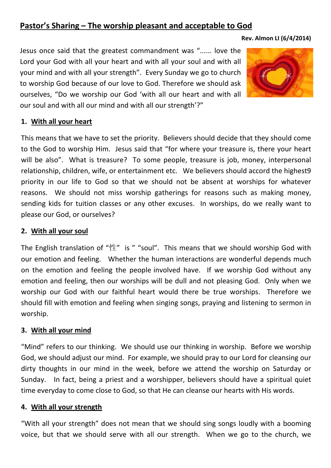# **Pastor's Sharing – The worship pleasant and acceptable to God**

#### **Rev. Almon LI (6/4/2014)**

Jesus once said that the greatest commandment was "...... love the Lord your God with all your heart and with all your soul and with all your mind and with all your strength". Every Sunday we go to church to worship God because of our love to God. Therefore we should ask ourselves, "Do we worship our God 'with all our heart and with all our soul and with all our mind and with all our strength'?"



#### **1. With all your heart**

This means that we have to set the priority. Believers should decide that they should come to the God to worship Him. Jesus said that "for where your treasure is, there your heart will be also". What is treasure? To some people, treasure is job, money, interpersonal relationship, children, wife, or entertainment etc. We believers should accord the highest9 priority in our life to God so that we should not be absent at worships for whatever reasons. We should not miss worship gatherings for reasons such as making money, sending kids for tuition classes or any other excuses. In worships, do we really want to please our God, or ourselves?

### **2. With all your soul**

The English translation of "性" is " "soul". This means that we should worship God with our emotion and feeling. Whether the human interactions are wonderful depends much on the emotion and feeling the people involved have. If we worship God without any emotion and feeling, then our worships will be dull and not pleasing God. Only when we worship our God with our faithful heart would there be true worships. Therefore we should fill with emotion and feeling when singing songs, praying and listening to sermon in worship.

# **3. With all your mind**

"Mind" refers to our thinking. We should use our thinking in worship. Before we worship God, we should adjust our mind. For example, we should pray to our Lord for cleansing our dirty thoughts in our mind in the week, before we attend the worship on Saturday or Sunday. In fact, being a priest and a worshipper, believers should have a spiritual quiet time everyday to come close to God, so that He can cleanse our hearts with His words.

# **4. With all your strength**

"With all your strength" does not mean that we should sing songs loudly with a booming voice, but that we should serve with all our strength. When we go to the church, we